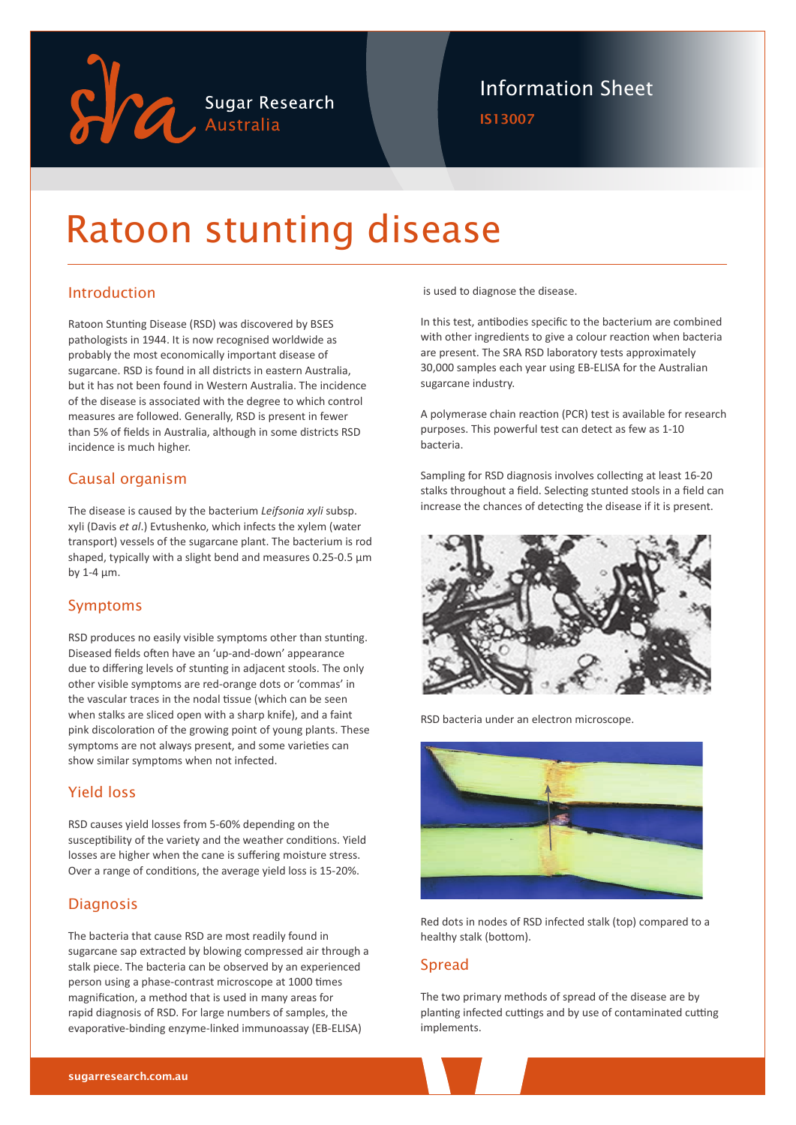

## Information Sheet

IS13007

# Ratoon stunting disease

### Introduction

Ratoon Stunting Disease (RSD) was discovered by BSES pathologists in 1944. It is now recognised worldwide as probably the most economically important disease of sugarcane. RSD is found in all districts in eastern Australia, but it has not been found in Western Australia. The incidence of the disease is associated with the degree to which control measures are followed. Generally, RSD is present in fewer than 5% of fields in Australia, although in some districts RSD incidence is much higher.

#### Causal organism

The disease is caused by the bacterium *Leifsonia xyli* subsp. xyli (Davis *et al*.) Evtushenko, which infects the xylem (water transport) vessels of the sugarcane plant. The bacterium is rod shaped, typically with a slight bend and measures 0.25-0.5 μm by 1-4 μm.

#### Symptoms

RSD produces no easily visible symptoms other than stunting. Diseased fields often have an 'up-and-down' appearance due to differing levels of stunting in adjacent stools. The only other visible symptoms are red-orange dots or 'commas' in the vascular traces in the nodal tissue (which can be seen when stalks are sliced open with a sharp knife), and a faint pink discoloration of the growing point of young plants. These symptoms are not always present, and some varieties can show similar symptoms when not infected.

#### Yield loss

RSD causes yield losses from 5-60% depending on the susceptibility of the variety and the weather conditions. Yield losses are higher when the cane is suffering moisture stress. Over a range of conditions, the average yield loss is 15-20%.

#### **Diagnosis**

The bacteria that cause RSD are most readily found in sugarcane sap extracted by blowing compressed air through a stalk piece. The bacteria can be observed by an experienced person using a phase-contrast microscope at 1000 times magnification, a method that is used in many areas for rapid diagnosis of RSD. For large numbers of samples, the evaporative-binding enzyme-linked immunoassay (EB-ELISA)

is used to diagnose the disease.

In this test, antibodies specific to the bacterium are combined with other ingredients to give a colour reaction when bacteria are present. The SRA RSD laboratory tests approximately 30,000 samples each year using EB-ELISA for the Australian sugarcane industry.

A polymerase chain reaction (PCR) test is available for research purposes. This powerful test can detect as few as 1-10 bacteria.

Sampling for RSD diagnosis involves collecting at least 16-20 stalks throughout a field. Selecting stunted stools in a field can increase the chances of detecting the disease if it is present.



RSD bacteria under an electron microscope.



Red dots in nodes of RSD infected stalk (top) compared to a healthy stalk (bottom).

#### Spread

The two primary methods of spread of the disease are by planting infected cuttings and by use of contaminated cutting implements.